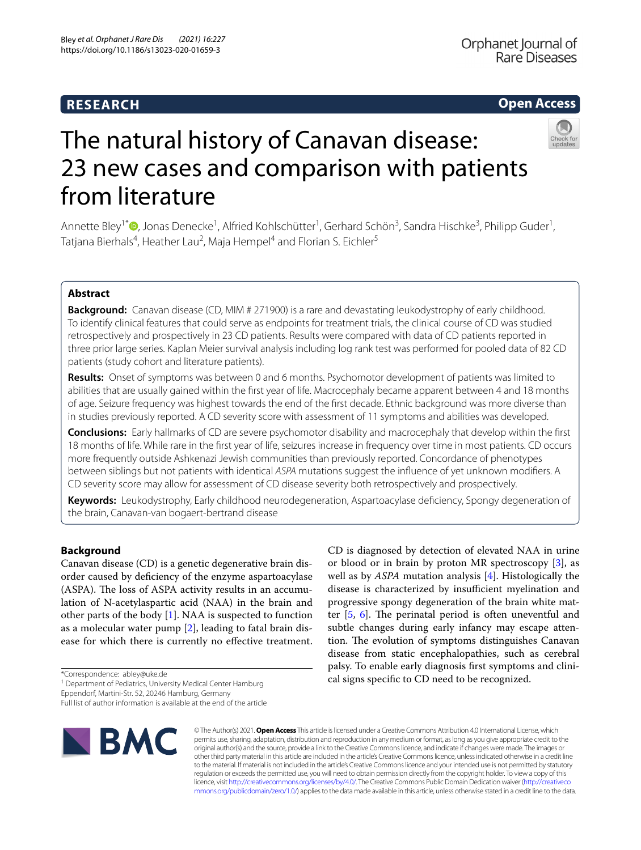## **RESEARCH**

## **Open Access**



# The natural history of Canavan disease: 23 new cases and comparison with patients from literature

Annette Bley<sup>1[\\*](http://orcid.org/0000-0002-5514-0938)</sup>®, Jonas Denecke<sup>1</sup>, Alfried Kohlschütter<sup>1</sup>, Gerhard Schön<sup>3</sup>, Sandra Hischke<sup>3</sup>, Philipp Guder<sup>1</sup>, Tatjana Bierhals<sup>4</sup>, Heather Lau<sup>2</sup>, Maja Hempel<sup>4</sup> and Florian S. Eichler<sup>5</sup>

## **Abstract**

**Background:** Canavan disease (CD, MIM # 271900) is a rare and devastating leukodystrophy of early childhood. To identify clinical features that could serve as endpoints for treatment trials, the clinical course of CD was studied retrospectively and prospectively in 23 CD patients. Results were compared with data of CD patients reported in three prior large series. Kaplan Meier survival analysis including log rank test was performed for pooled data of 82 CD patients (study cohort and literature patients).

**Results:** Onset of symptoms was between 0 and 6 months. Psychomotor development of patients was limited to abilities that are usually gained within the frst year of life. Macrocephaly became apparent between 4 and 18 months of age. Seizure frequency was highest towards the end of the frst decade. Ethnic background was more diverse than in studies previously reported. A CD severity score with assessment of 11 symptoms and abilities was developed.

**Conclusions:** Early hallmarks of CD are severe psychomotor disability and macrocephaly that develop within the frst 18 months of life. While rare in the frst year of life, seizures increase in frequency over time in most patients. CD occurs more frequently outside Ashkenazi Jewish communities than previously reported. Concordance of phenotypes between siblings but not patients with identical *ASPA* mutations suggest the infuence of yet unknown modifers. A CD severity score may allow for assessment of CD disease severity both retrospectively and prospectively.

**Keywords:** Leukodystrophy, Early childhood neurodegeneration, Aspartoacylase defciency, Spongy degeneration of the brain, Canavan-van bogaert-bertrand disease

## **Background**

Canavan disease (CD) is a genetic degenerative brain disorder caused by defciency of the enzyme aspartoacylase (ASPA). The loss of ASPA activity results in an accumulation of N-acetylaspartic acid (NAA) in the brain and other parts of the body [\[1](#page-8-0)]. NAA is suspected to function as a molecular water pump [\[2](#page-8-1)], leading to fatal brain disease for which there is currently no efective treatment.

Eppendorf, Martini-Str. 52, 20246 Hamburg, Germany

Full list of author information is available at the end of the article



CD is diagnosed by detection of elevated NAA in urine or blood or in brain by proton MR spectroscopy [\[3](#page-8-2)], as well as by *ASPA* mutation analysis [\[4\]](#page-8-3). Histologically the disease is characterized by insufficient myelination and progressive spongy degeneration of the brain white matter  $[5, 6]$  $[5, 6]$  $[5, 6]$  $[5, 6]$ . The perinatal period is often uneventful and subtle changes during early infancy may escape attention. The evolution of symptoms distinguishes Canavan disease from static encephalopathies, such as cerebral palsy. To enable early diagnosis frst symptoms and clinical signs specifc to CD need to be recognized.

© The Author(s) 2021. **Open Access** This article is licensed under a Creative Commons Attribution 4.0 International License, which permits use, sharing, adaptation, distribution and reproduction in any medium or format, as long as you give appropriate credit to the original author(s) and the source, provide a link to the Creative Commons licence, and indicate if changes were made. The images or other third party material in this article are included in the article's Creative Commons licence, unless indicated otherwise in a credit line to the material. If material is not included in the article's Creative Commons licence and your intended use is not permitted by statutory regulation or exceeds the permitted use, you will need to obtain permission directly from the copyright holder. To view a copy of this licence, visit [http://creativecommons.org/licenses/by/4.0/.](http://creativecommons.org/licenses/by/4.0/) The Creative Commons Public Domain Dedication waiver ([http://creativeco](http://creativecommons.org/publicdomain/zero/1.0/) [mmons.org/publicdomain/zero/1.0/](http://creativecommons.org/publicdomain/zero/1.0/)) applies to the data made available in this article, unless otherwise stated in a credit line to the data.

<sup>\*</sup>Correspondence: abley@uke.de

<sup>&</sup>lt;sup>1</sup> Department of Pediatrics, University Medical Center Hamburg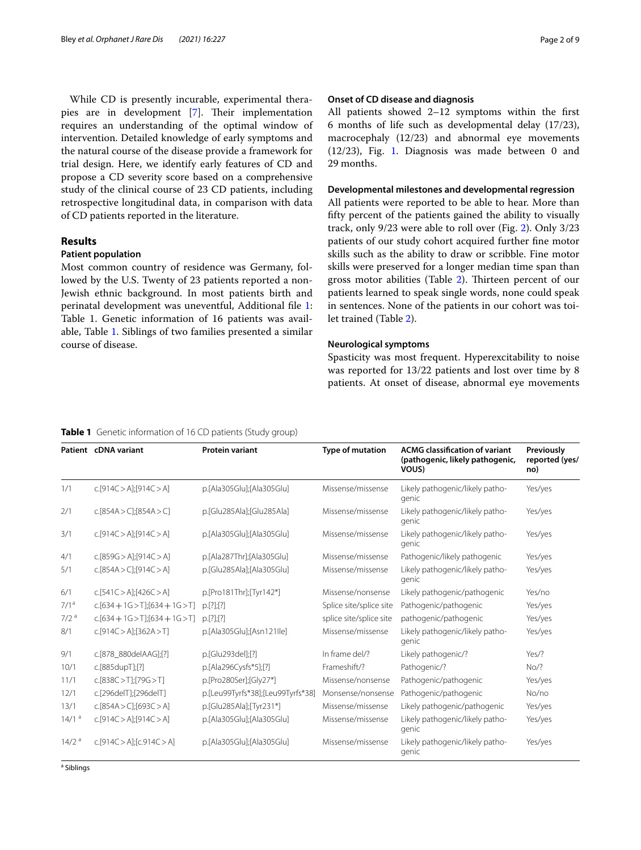While CD is presently incurable, experimental thera-pies are in development [[7\]](#page-8-6). Their implementation requires an understanding of the optimal window of intervention. Detailed knowledge of early symptoms and the natural course of the disease provide a framework for trial design. Here, we identify early features of CD and propose a CD severity score based on a comprehensive study of the clinical course of 23 CD patients, including retrospective longitudinal data, in comparison with data of CD patients reported in the literature.

#### **Results**

#### **Patient population**

Most common country of residence was Germany, followed by the U.S. Twenty of 23 patients reported a non-Jewish ethnic background. In most patients birth and perinatal development was uneventful, Additional fle [1](#page-7-0): Table 1. Genetic information of 16 patients was available, Table [1](#page-1-0). Siblings of two families presented a similar course of disease.

#### **Onset of CD disease and diagnosis**

All patients showed 2–12 symptoms within the frst 6 months of life such as developmental delay (17/23), macrocephaly (12/23) and abnormal eye movements (12/23), Fig. [1](#page-2-0). Diagnosis was made between 0 and 29 months.

#### **Developmental milestones and developmental regression**

All patients were reported to be able to hear. More than ffty percent of the patients gained the ability to visually track, only 9/23 were able to roll over (Fig. [2\)](#page-2-1). Only 3/23 patients of our study cohort acquired further fne motor skills such as the ability to draw or scribble. Fine motor skills were preserved for a longer median time span than gross motor abilities (Table [2](#page-3-0)). Thirteen percent of our patients learned to speak single words, none could speak in sentences. None of the patients in our cohort was toilet trained (Table [2\)](#page-3-0).

#### **Neurological symptoms**

Spasticity was most frequent. Hyperexcitability to noise was reported for 13/22 patients and lost over time by 8 patients. At onset of disease, abnormal eye movements

#### <span id="page-1-0"></span>**Table 1** Genetic information of 16 CD patients (Study group)

|                     | Patient cDNA variant              | <b>Protein variant</b>            | <b>Type of mutation</b> | <b>ACMG classification of variant</b><br>(pathogenic, likely pathogenic,<br>VOUS) | Previously<br>reported (yes/<br>no) |
|---------------------|-----------------------------------|-----------------------------------|-------------------------|-----------------------------------------------------------------------------------|-------------------------------------|
| 1/1                 | c.[914C > A][914C > A]            | p.[Ala305Glu];[Ala305Glu]         | Missense/missense       | Likely pathogenic/likely patho-<br>genic                                          | Yes/yes                             |
| 2/1                 | C.[854A > C]; [854A > C]          | p.[Glu285Ala];[Glu285Ala]         | Missense/missense       | Likely pathogenic/likely patho-<br>genic                                          | Yes/yes                             |
| 3/1                 | c.[914C > A][914C > A]            | p.[Ala305Glu];[Ala305Glu]         | Missense/missense       | Likely pathogenic/likely patho-<br>genic                                          | Yes/yes                             |
| 4/1                 | c.[859G> A][914C> A]              | p.[Ala287Thr];[Ala305Glu]         | Missense/missense       | Pathogenic/likely pathogenic                                                      | Yes/yes                             |
| 5/1                 | c.[854A > C];[914C > A]           | p.[Glu285Ala];[Ala305Glu]         | Missense/missense       | Likely pathogenic/likely patho-<br>genic                                          | Yes/yes                             |
| 6/1                 | c.[541C > A];[426C > A]           | p.[Pro181Thr];[Tyr142*]           | Missense/nonsense       | Likely pathogenic/pathogenic                                                      | Yes/no                              |
| 7/1 <sup>a</sup>    | $c.[634+1G>T][634+1G>T]$          | p.[?][?]                          | Splice site/splice site | Pathogenic/pathogenic                                                             | Yes/yes                             |
| 7/2 <sup>a</sup>    | $c.[634+1G> T][634+1G> T]$        | p.[?][.]                          | splice site/splice site | pathogenic/pathogenic                                                             | Yes/yes                             |
| 8/1                 | c.[914C > A][362A > T]            | p.[Ala305Glu];[Asn121lle]         | Missense/missense       | Likely pathogenic/likely patho-<br>genic                                          | Yes/yes                             |
| 9/1                 | c.[878_880delAAG];[?]             | p.[Glu293del];[?]                 | In frame del/?          | Likely pathogenic/?                                                               | Yes/?                               |
| 10/1                | c.[885dupT];[?]                   | p.[Ala296Cysfs*5];[?]             | Frameshift/?            | Pathogenic/?                                                                      | No/?                                |
| 11/1                | c.[838C> T][79G> T]               | p.[Pro280Ser];[Gly27*]            | Missense/nonsense       | Pathogenic/pathogenic                                                             | Yes/yes                             |
| 12/1                | c.[296delT];[296delT]             | p.[Leu99Tyrfs*38];[Leu99Tyrfs*38] | Monsense/nonsense       | Pathogenic/pathogenic                                                             | No/no                               |
| 13/1                | c.[854A > C];[693C > A]           | p.[Glu285Ala];[Tyr231*]           | Missense/missense       | Likely pathogenic/pathogenic                                                      | Yes/yes                             |
| $14/1$ <sup>a</sup> | c.[914C > A];[914C > A]           | p.[Ala305Glu];[Ala305Glu]         | Missense/missense       | Likely pathogenic/likely patho-<br>genic                                          | Yes/yes                             |
| 14/2 <sup>a</sup>   | $C.[914C > A]$ ; [ $C.914C > A$ ] | p.[Ala305Glu];[Ala305Glu]         | Missense/missense       | Likely pathogenic/likely patho-<br>genic                                          | Yes/yes                             |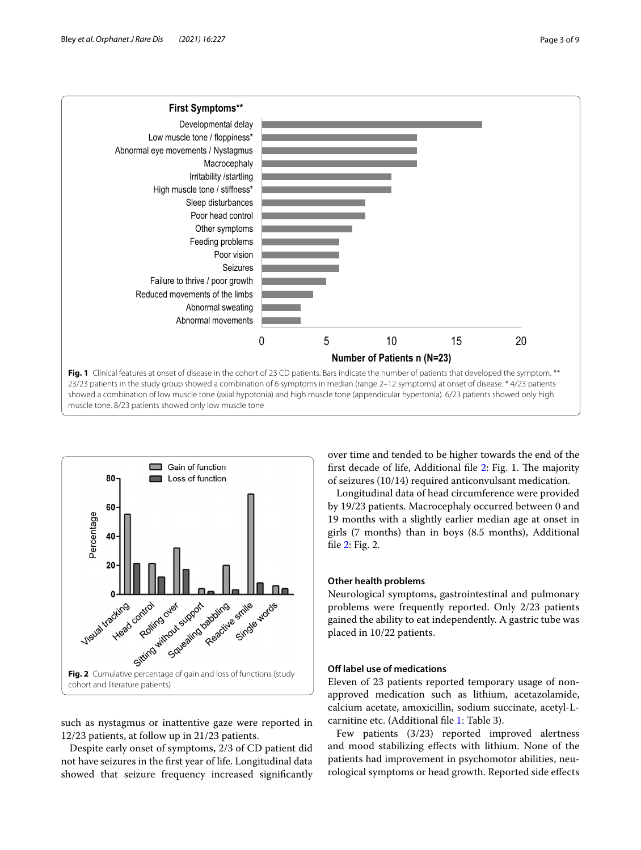

<span id="page-2-0"></span>

<span id="page-2-1"></span>such as nystagmus or inattentive gaze were reported in 12/23 patients, at follow up in 21/23 patients.

Despite early onset of symptoms, 2/3 of CD patient did not have seizures in the frst year of life. Longitudinal data showed that seizure frequency increased signifcantly

over time and tended to be higher towards the end of the first decade of life, Additional file  $2$ : Fig. 1. The majority of seizures (10/14) required anticonvulsant medication.

Longitudinal data of head circumference were provided by 19/23 patients. Macrocephaly occurred between 0 and 19 months with a slightly earlier median age at onset in girls (7 months) than in boys (8.5 months), Additional fle [2](#page-7-1): Fig. 2.

#### **Other health problems**

Neurological symptoms, gastrointestinal and pulmonary problems were frequently reported. Only 2/23 patients gained the ability to eat independently. A gastric tube was placed in 10/22 patients.

#### **Off label use of medications**

Eleven of 23 patients reported temporary usage of nonapproved medication such as lithium, acetazolamide, calcium acetate, amoxicillin, sodium succinate, acetyl-Lcarnitine etc. (Additional fle [1](#page-7-0): Table 3).

Few patients (3/23) reported improved alertness and mood stabilizing efects with lithium. None of the patients had improvement in psychomotor abilities, neurological symptoms or head growth. Reported side efects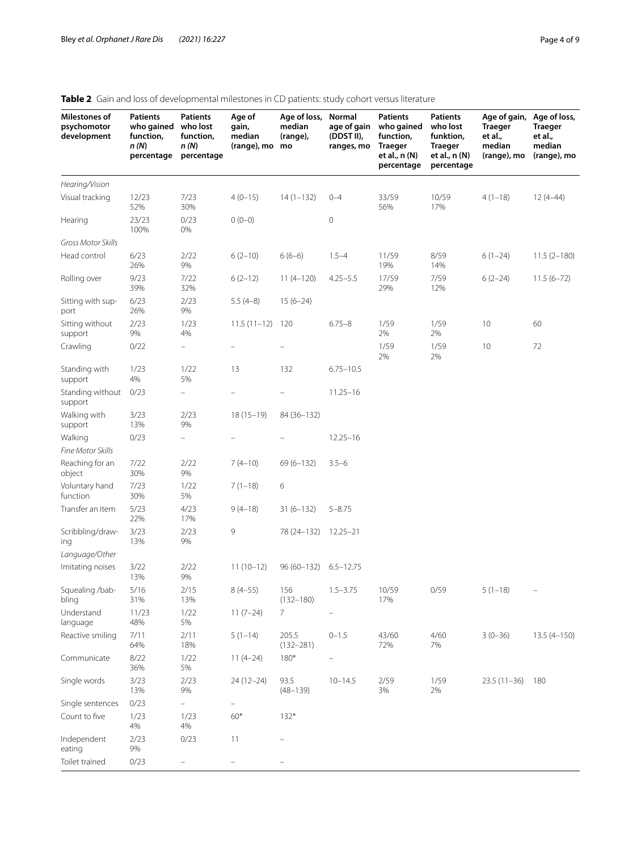## <span id="page-3-0"></span>**Table 2** Gain and loss of developmental milestones in CD patients: study cohort versus literature

| Milestones of<br>psychomotor<br>development | Patients<br>who gained<br>function,<br>n(N)<br>percentage | <b>Patients</b><br>who lost<br>function,<br>n (N)<br>percentage | Age of<br>gain,<br>median<br>(range), mo | Age of loss,<br>median<br>(range),<br>mo | Normal<br>age of gain<br>(DDST II),<br>ranges, mo | Patients<br>who gained<br>function,<br><b>Traeger</b><br>et al., n (N)<br>percentage | <b>Patients</b><br>who lost<br>funktion,<br>Traeger<br>et al., n (N)<br>percentage | Age of gain,<br><b>Traeger</b><br>et al.,<br>median<br>(range), mo | Age of loss,<br><b>Traeger</b><br>et al.,<br>median<br>(range), mo |
|---------------------------------------------|-----------------------------------------------------------|-----------------------------------------------------------------|------------------------------------------|------------------------------------------|---------------------------------------------------|--------------------------------------------------------------------------------------|------------------------------------------------------------------------------------|--------------------------------------------------------------------|--------------------------------------------------------------------|
| Hearing/Vision                              |                                                           |                                                                 |                                          |                                          |                                                   |                                                                                      |                                                                                    |                                                                    |                                                                    |
| Visual tracking                             | 12/23<br>52%                                              | 7/23<br>30%                                                     | $4(0-15)$                                | $14(1-132)$                              | $0 - 4$                                           | 33/59<br>56%                                                                         | 10/59<br>17%                                                                       | $4(1-18)$                                                          | $12(4-44)$                                                         |
| Hearing                                     | 23/23<br>100%                                             | 0/23<br>0%                                                      | $0(0-0)$                                 |                                          | 0                                                 |                                                                                      |                                                                                    |                                                                    |                                                                    |
| Gross Motor Skills                          |                                                           |                                                                 |                                          |                                          |                                                   |                                                                                      |                                                                                    |                                                                    |                                                                    |
| Head control                                | 6/23<br>26%                                               | 2/22<br>9%                                                      | $6(2-10)$                                | $6(6-6)$                                 | $1.5 - 4$                                         | 11/59<br>19%                                                                         | 8/59<br>14%                                                                        | $6(1-24)$                                                          | $11.5(2-180)$                                                      |
| Rolling over                                | 9/23<br>39%                                               | 7/22<br>32%                                                     | $6(2-12)$                                | $11(4-120)$                              | $4.25 - 5.5$                                      | 17/59<br>29%                                                                         | 7/59<br>12%                                                                        | $6(2-24)$                                                          | $11.5(6 - 72)$                                                     |
| Sitting with sup-<br>port                   | 6/23<br>26%                                               | 2/23<br>9%                                                      | $5.5(4-8)$                               | $15(6-24)$                               |                                                   |                                                                                      |                                                                                    |                                                                    |                                                                    |
| Sitting without<br>support                  | 2/23<br>9%                                                | 1/23<br>4%                                                      | $11.5(11-12)$                            | 120                                      | $6.75 - 8$                                        | 1/59<br>2%                                                                           | 1/59<br>2%                                                                         | 10                                                                 | 60                                                                 |
| Crawling                                    | 0/22                                                      | $\frac{1}{2}$                                                   |                                          |                                          |                                                   | 1/59<br>2%                                                                           | 1/59<br>2%                                                                         | 10                                                                 | 72                                                                 |
| Standing with<br>support                    | 1/23<br>4%                                                | 1/22<br>5%                                                      | 13                                       | 132                                      | $6.75 - 10.5$                                     |                                                                                      |                                                                                    |                                                                    |                                                                    |
| Standing without<br>support                 | 0/23                                                      | -                                                               |                                          |                                          | $11.25 - 16$                                      |                                                                                      |                                                                                    |                                                                    |                                                                    |
| Walking with<br>support                     | 3/23<br>13%                                               | 2/23<br>9%                                                      | $18(15-19)$                              | 84 (36-132)                              |                                                   |                                                                                      |                                                                                    |                                                                    |                                                                    |
| Walking<br>Fine Motor Skills                | 0/23                                                      | $\equiv$                                                        |                                          |                                          | $12.25 - 16$                                      |                                                                                      |                                                                                    |                                                                    |                                                                    |
| Reaching for an<br>object                   | 7/22<br>30%                                               | 2/22<br>$9\%$                                                   | $7(4-10)$                                | $69(6 - 132)$                            | $3.5 - 6$                                         |                                                                                      |                                                                                    |                                                                    |                                                                    |
| Voluntary hand<br>function                  | 7/23<br>30%                                               | 1/22<br>5%                                                      | $7(1-18)$                                | 6                                        |                                                   |                                                                                      |                                                                                    |                                                                    |                                                                    |
| Transfer an item                            | 5/23<br>22%                                               | 4/23<br>17%                                                     | $9(4-18)$                                | $31(6-132)$                              | $5 - 8.75$                                        |                                                                                      |                                                                                    |                                                                    |                                                                    |
| Scribbling/draw-<br>ing                     | 3/23<br>13%                                               | 2/23<br>9%                                                      | 9                                        | 78 (24–132)                              | $12.25 - 21$                                      |                                                                                      |                                                                                    |                                                                    |                                                                    |
| Language/Other<br>Imitating noises          | 3/22<br>13%                                               | 2/22<br>9%                                                      | $11(10-12)$                              | 96 (60–132)                              | $6.5 - 12.75$                                     |                                                                                      |                                                                                    |                                                                    |                                                                    |
| Squealing /bab-<br>bling                    | 5/16<br>31%                                               | 2/15<br>13%                                                     | $8(4-55)$                                | 156<br>$(132 - 180)$                     | $1.5 - 3.75$                                      | 10/59<br>17%                                                                         | 0/59                                                                               | $5(1-18)$                                                          |                                                                    |
| Understand<br>language                      | 11/23<br>48%                                              | 1/22<br>5%                                                      | $11(7-24)$                               | $\overline{7}$                           |                                                   |                                                                                      |                                                                                    |                                                                    |                                                                    |
| Reactive smiling                            | 7/11<br>64%                                               | 2/11<br>18%                                                     | $5(1-14)$                                | 205.5<br>$(132 - 281)$                   | $0 - 1.5$                                         | 43/60<br>72%                                                                         | 4/60<br>7%                                                                         | $3(0-36)$                                                          | $13.5(4 - 150)$                                                    |
| Communicate                                 | 8/22<br>36%                                               | 1/22<br>5%                                                      | $11(4-24)$                               | $180*$                                   |                                                   |                                                                                      |                                                                                    |                                                                    |                                                                    |
| Single words                                | 3/23<br>13%                                               | 2/23<br>9%                                                      | $24(12-24)$                              | 93.5<br>$(48 - 139)$                     | $10 - 14.5$                                       | 2/59<br>3%                                                                           | 1/59<br>2%                                                                         | $23.5(11-36)$                                                      | 180                                                                |
| Single sentences                            | 0/23                                                      |                                                                 |                                          |                                          |                                                   |                                                                                      |                                                                                    |                                                                    |                                                                    |
| Count to five                               | 1/23<br>$4\%$                                             | 1/23<br>4%                                                      | $60*$                                    | $132*$                                   |                                                   |                                                                                      |                                                                                    |                                                                    |                                                                    |
| Independent<br>eating                       | 2/23<br>$9\%$                                             | 0/23                                                            | 11                                       |                                          |                                                   |                                                                                      |                                                                                    |                                                                    |                                                                    |
| Toilet trained                              | 0/23                                                      |                                                                 |                                          |                                          |                                                   |                                                                                      |                                                                                    |                                                                    |                                                                    |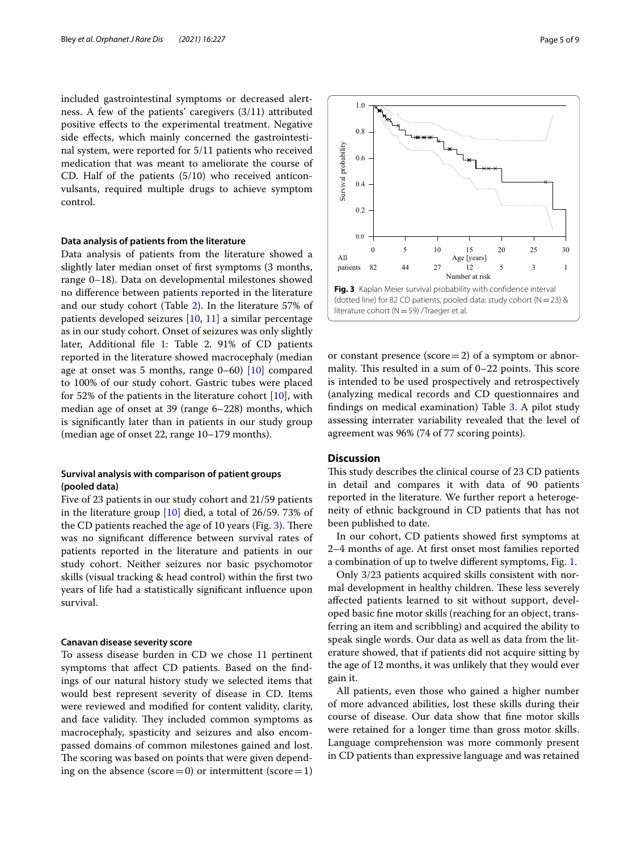included gastrointestinal symptoms or decreased alertness. A few of the patients' caregivers (3/11) attributed positive efects to the experimental treatment. Negative side efects, which mainly concerned the gastrointestinal system, were reported for 5/11 patients who received medication that was meant to ameliorate the course of CD. Half of the patients (5/10) who received anticonvulsants, required multiple drugs to achieve symptom control.

#### **Data analysis of patients from the literature**

Data analysis of patients from the literature showed a slightly later median onset of frst symptoms (3 months, range 0–18). Data on developmental milestones showed no diference between patients reported in the literature and our study cohort (Table [2](#page-3-0)). In the literature 57% of patients developed seizures [\[10,](#page-8-7) [11](#page-8-8)] a similar percentage as in our study cohort. Onset of seizures was only slightly later, Additional file [1](#page-7-0): Table 2. 91% of CD patients reported in the literature showed macrocephaly (median age at onset was 5 months, range  $0-60$  [[10\]](#page-8-7) compared to 100% of our study cohort. Gastric tubes were placed for 52% of the patients in the literature cohort  $[10]$ , with median age of onset at 39 (range 6–228) months, which is signifcantly later than in patients in our study group (median age of onset 22, range 10–179 months).

### **Survival analysis with comparison of patient groups (pooled data)**

Five of 23 patients in our study cohort and 21/59 patients in the literature group [[10\]](#page-8-7) died, a total of 26/59. 73% of the CD patients reached the age of 10 years (Fig.  $3$ ). There was no signifcant diference between survival rates of patients reported in the literature and patients in our study cohort. Neither seizures nor basic psychomotor skills (visual tracking & head control) within the frst two years of life had a statistically signifcant infuence upon survival.

#### **Canavan disease severity score**

To assess disease burden in CD we chose 11 pertinent symptoms that afect CD patients. Based on the fndings of our natural history study we selected items that would best represent severity of disease in CD. Items were reviewed and modifed for content validity, clarity, and face validity. They included common symptoms as macrocephaly, spasticity and seizures and also encompassed domains of common milestones gained and lost. The scoring was based on points that were given depending on the absence (score=0) or intermittent (score=1)



<span id="page-4-0"></span>or constant presence ( $score=2$ ) of a symptom or abnormality. This resulted in a sum of  $0-22$  points. This score is intended to be used prospectively and retrospectively (analyzing medical records and CD questionnaires and fndings on medical examination) Table [3](#page-5-0). A pilot study assessing interrater variability revealed that the level of agreement was 96% (74 of 77 scoring points).

#### **Discussion**

This study describes the clinical course of 23 CD patients in detail and compares it with data of 90 patients reported in the literature. We further report a heterogeneity of ethnic background in CD patients that has not been published to date.

In our cohort, CD patients showed frst symptoms at 2–4 months of age. At frst onset most families reported a combination of up to twelve diferent symptoms, Fig. [1](#page-2-0).

Only 3/23 patients acquired skills consistent with normal development in healthy children. These less severely afected patients learned to sit without support, developed basic fne motor skills (reaching for an object, transferring an item and scribbling) and acquired the ability to speak single words. Our data as well as data from the literature showed, that if patients did not acquire sitting by the age of 12 months, it was unlikely that they would ever gain it.

All patients, even those who gained a higher number of more advanced abilities, lost these skills during their course of disease. Our data show that fne motor skills were retained for a longer time than gross motor skills. Language comprehension was more commonly present in CD patients than expressive language and was retained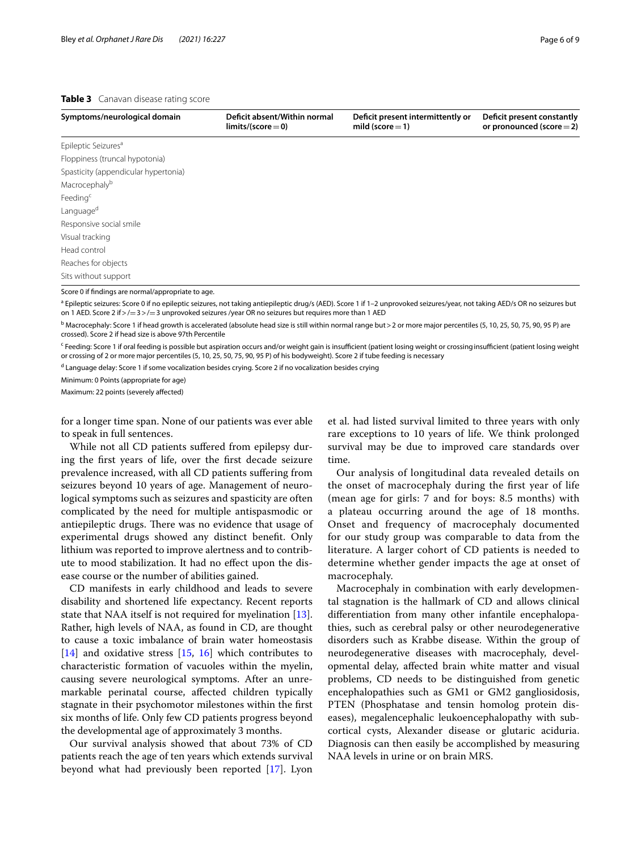#### <span id="page-5-0"></span>**Table 3** Canavan disease rating score

| Symptoms/neurological domain         | Deficit absent/Within normal<br>$limits/(score=0)$ | Deficit present intermittently or<br>mild (score $=$ 1) | Deficit present constantly<br>or pronounced (score $=$ 2) |
|--------------------------------------|----------------------------------------------------|---------------------------------------------------------|-----------------------------------------------------------|
| Epileptic Seizures <sup>a</sup>      |                                                    |                                                         |                                                           |
| Floppiness (truncal hypotonia)       |                                                    |                                                         |                                                           |
| Spasticity (appendicular hypertonia) |                                                    |                                                         |                                                           |
| Macrocephalyb                        |                                                    |                                                         |                                                           |
| Feeding <sup>c</sup>                 |                                                    |                                                         |                                                           |
| Language <sup>d</sup>                |                                                    |                                                         |                                                           |
| Responsive social smile              |                                                    |                                                         |                                                           |
| Visual tracking                      |                                                    |                                                         |                                                           |
| Head control                         |                                                    |                                                         |                                                           |
| Reaches for objects                  |                                                    |                                                         |                                                           |
| Sits without support                 |                                                    |                                                         |                                                           |

Score 0 if fndings are normal/appropriate to age.

<sup>a</sup> Epileptic seizures: Score 0 if no epileptic seizures, not taking antiepileptic drug/s (AED). Score 1 if 1–2 unprovoked seizures/year, not taking AED/s OR no seizures but on 1 AED. Score 2 if > / = 3 > / = 3 unprovoked seizures /year OR no seizures but requires more than 1 AED

<sup>b</sup> Macrocephaly: Score 1 if head growth is accelerated (absolute head size is still within normal range but > 2 or more major percentiles (5, 10, 25, 50, 75, 90, 95 P) are crossed). Score 2 if head size is above 97th Percentile

Feeding: Score 1 if oral feeding is possible but aspiration occurs and/or weight gain is insufficient (patient losing weight or crossing insufficient (patient losing weight or crossing of 2 or more major percentiles (5, 10, 25, 50, 75, 90, 95 P) of his bodyweight). Score 2 if tube feeding is necessary

<sup>d</sup> Language delay: Score 1 if some vocalization besides crying. Score 2 if no vocalization besides crying

Minimum: 0 Points (appropriate for age)

Maximum: 22 points (severely afected)

for a longer time span. None of our patients was ever able to speak in full sentences.

While not all CD patients sufered from epilepsy during the frst years of life, over the frst decade seizure prevalence increased, with all CD patients sufering from seizures beyond 10 years of age. Management of neurological symptoms such as seizures and spasticity are often complicated by the need for multiple antispasmodic or antiepileptic drugs. There was no evidence that usage of experimental drugs showed any distinct beneft. Only lithium was reported to improve alertness and to contribute to mood stabilization. It had no efect upon the disease course or the number of abilities gained.

CD manifests in early childhood and leads to severe disability and shortened life expectancy. Recent reports state that NAA itself is not required for myelination [\[13](#page-8-9)]. Rather, high levels of NAA, as found in CD, are thought to cause a toxic imbalance of brain water homeostasis  $[14]$  $[14]$  and oxidative stress  $[15, 16]$  $[15, 16]$  $[15, 16]$  which contributes to characteristic formation of vacuoles within the myelin, causing severe neurological symptoms. After an unremarkable perinatal course, afected children typically stagnate in their psychomotor milestones within the frst six months of life. Only few CD patients progress beyond the developmental age of approximately 3 months.

Our survival analysis showed that about 73% of CD patients reach the age of ten years which extends survival beyond what had previously been reported [\[17](#page-8-13)]. Lyon

et al. had listed survival limited to three years with only rare exceptions to 10 years of life. We think prolonged survival may be due to improved care standards over time.

Our analysis of longitudinal data revealed details on the onset of macrocephaly during the frst year of life (mean age for girls: 7 and for boys: 8.5 months) with a plateau occurring around the age of 18 months. Onset and frequency of macrocephaly documented for our study group was comparable to data from the literature. A larger cohort of CD patients is needed to determine whether gender impacts the age at onset of macrocephaly.

Macrocephaly in combination with early developmental stagnation is the hallmark of CD and allows clinical diferentiation from many other infantile encephalopathies, such as cerebral palsy or other neurodegenerative disorders such as Krabbe disease. Within the group of neurodegenerative diseases with macrocephaly, developmental delay, afected brain white matter and visual problems, CD needs to be distinguished from genetic encephalopathies such as GM1 or GM2 gangliosidosis, PTEN (Phosphatase and tensin homolog protein diseases), megalencephalic leukoencephalopathy with subcortical cysts, Alexander disease or glutaric aciduria. Diagnosis can then easily be accomplished by measuring NAA levels in urine or on brain MRS.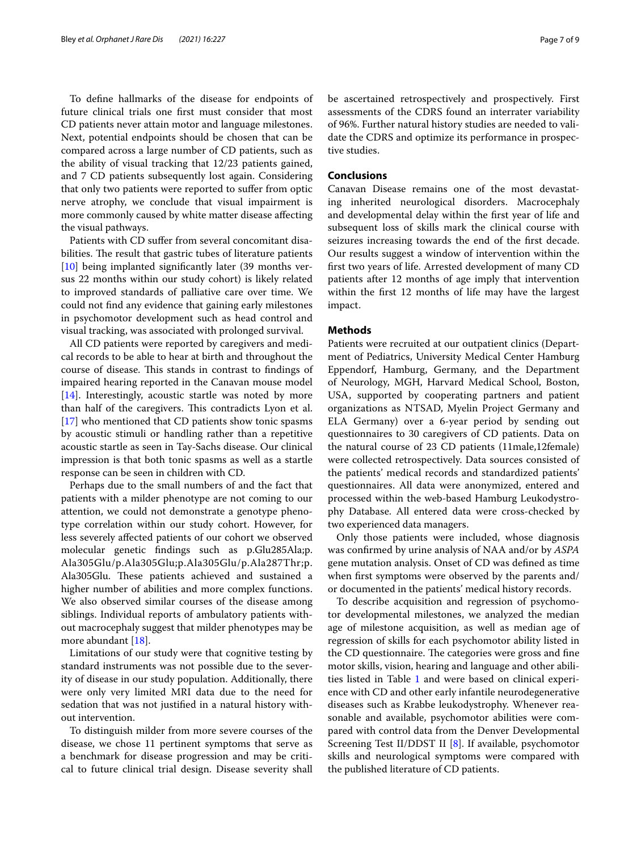To defne hallmarks of the disease for endpoints of future clinical trials one frst must consider that most CD patients never attain motor and language milestones. Next, potential endpoints should be chosen that can be compared across a large number of CD patients, such as the ability of visual tracking that 12/23 patients gained, and 7 CD patients subsequently lost again. Considering that only two patients were reported to sufer from optic nerve atrophy, we conclude that visual impairment is more commonly caused by white matter disease afecting the visual pathways.

Patients with CD sufer from several concomitant disabilities. The result that gastric tubes of literature patients [[10\]](#page-8-7) being implanted significantly later (39 months versus 22 months within our study cohort) is likely related to improved standards of palliative care over time. We could not fnd any evidence that gaining early milestones in psychomotor development such as head control and visual tracking, was associated with prolonged survival.

All CD patients were reported by caregivers and medical records to be able to hear at birth and throughout the course of disease. This stands in contrast to findings of impaired hearing reported in the Canavan mouse model [[14\]](#page-8-10). Interestingly, acoustic startle was noted by more than half of the caregivers. This contradicts Lyon et al. [[17\]](#page-8-13) who mentioned that CD patients show tonic spasms by acoustic stimuli or handling rather than a repetitive acoustic startle as seen in Tay-Sachs disease. Our clinical impression is that both tonic spasms as well as a startle response can be seen in children with CD.

Perhaps due to the small numbers of and the fact that patients with a milder phenotype are not coming to our attention, we could not demonstrate a genotype phenotype correlation within our study cohort. However, for less severely afected patients of our cohort we observed molecular genetic fndings such as p.Glu285Ala;p. Ala305Glu/p.Ala305Glu;p.Ala305Glu/p.Ala287Thr;p. Ala305Glu. These patients achieved and sustained a higher number of abilities and more complex functions. We also observed similar courses of the disease among siblings. Individual reports of ambulatory patients without macrocephaly suggest that milder phenotypes may be more abundant [[18\]](#page-8-14).

Limitations of our study were that cognitive testing by standard instruments was not possible due to the severity of disease in our study population. Additionally, there were only very limited MRI data due to the need for sedation that was not justifed in a natural history without intervention.

To distinguish milder from more severe courses of the disease, we chose 11 pertinent symptoms that serve as a benchmark for disease progression and may be critical to future clinical trial design. Disease severity shall be ascertained retrospectively and prospectively. First assessments of the CDRS found an interrater variability of 96%. Further natural history studies are needed to validate the CDRS and optimize its performance in prospective studies.

#### **Conclusions**

Canavan Disease remains one of the most devastating inherited neurological disorders. Macrocephaly and developmental delay within the frst year of life and subsequent loss of skills mark the clinical course with seizures increasing towards the end of the frst decade. Our results suggest a window of intervention within the frst two years of life. Arrested development of many CD patients after 12 months of age imply that intervention within the frst 12 months of life may have the largest impact.

#### **Methods**

Patients were recruited at our outpatient clinics (Department of Pediatrics, University Medical Center Hamburg Eppendorf, Hamburg, Germany, and the Department of Neurology, MGH, Harvard Medical School, Boston, USA, supported by cooperating partners and patient organizations as NTSAD, Myelin Project Germany and ELA Germany) over a 6-year period by sending out questionnaires to 30 caregivers of CD patients. Data on the natural course of 23 CD patients (11male,12female) were collected retrospectively. Data sources consisted of the patients' medical records and standardized patients' questionnaires. All data were anonymized, entered and processed within the web-based Hamburg Leukodystrophy Database. All entered data were cross-checked by two experienced data managers.

Only those patients were included, whose diagnosis was confrmed by urine analysis of NAA and/or by *ASPA* gene mutation analysis. Onset of CD was defned as time when frst symptoms were observed by the parents and/ or documented in the patients' medical history records.

To describe acquisition and regression of psychomotor developmental milestones, we analyzed the median age of milestone acquisition, as well as median age of regression of skills for each psychomotor ability listed in the CD questionnaire. The categories were gross and fine motor skills, vision, hearing and language and other abili-ties listed in Table [1](#page-1-0) and were based on clinical experience with CD and other early infantile neurodegenerative diseases such as Krabbe leukodystrophy. Whenever reasonable and available, psychomotor abilities were compared with control data from the Denver Developmental Screening Test II/DDST II [\[8\]](#page-8-15). If available, psychomotor skills and neurological symptoms were compared with the published literature of CD patients.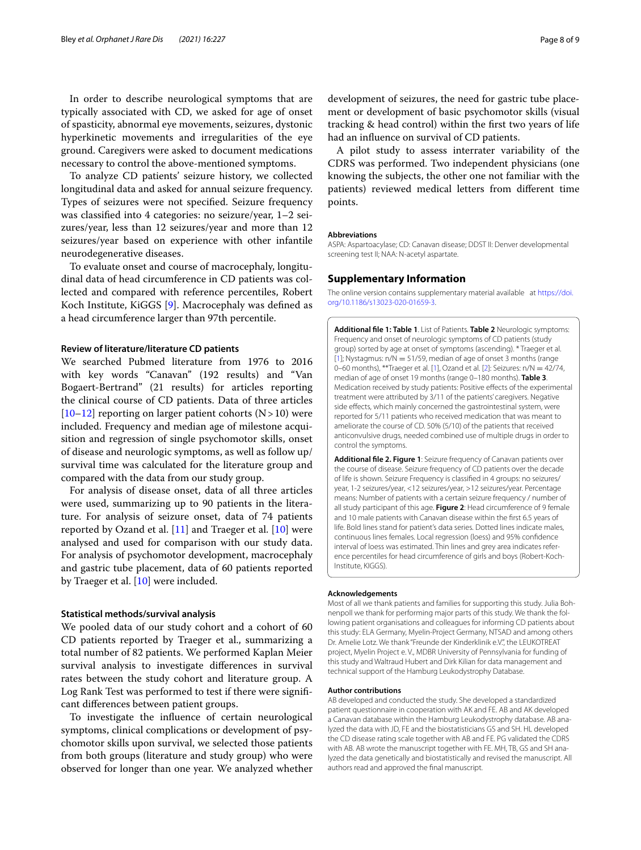In order to describe neurological symptoms that are typically associated with CD, we asked for age of onset of spasticity, abnormal eye movements, seizures, dystonic hyperkinetic movements and irregularities of the eye ground. Caregivers were asked to document medications necessary to control the above-mentioned symptoms.

To analyze CD patients' seizure history, we collected longitudinal data and asked for annual seizure frequency. Types of seizures were not specifed. Seizure frequency was classifed into 4 categories: no seizure/year, 1–2 seizures/year, less than 12 seizures/year and more than 12 seizures/year based on experience with other infantile neurodegenerative diseases.

To evaluate onset and course of macrocephaly, longitudinal data of head circumference in CD patients was collected and compared with reference percentiles, Robert Koch Institute, KiGGS [\[9](#page-8-16)]. Macrocephaly was defned as a head circumference larger than 97th percentile.

#### **Review of literature/literature CD patients**

We searched Pubmed literature from 1976 to 2016 with key words "Canavan" (192 results) and "Van Bogaert-Bertrand" (21 results) for articles reporting the clinical course of CD patients. Data of three articles  $[10–12]$  $[10–12]$  $[10–12]$  $[10–12]$  reporting on larger patient cohorts  $(N>10)$  were included. Frequency and median age of milestone acquisition and regression of single psychomotor skills, onset of disease and neurologic symptoms, as well as follow up/ survival time was calculated for the literature group and compared with the data from our study group.

For analysis of disease onset, data of all three articles were used, summarizing up to 90 patients in the literature. For analysis of seizure onset, data of 74 patients reported by Ozand et al. [[11](#page-8-8)] and Traeger et al. [\[10](#page-8-7)] were analysed and used for comparison with our study data. For analysis of psychomotor development, macrocephaly and gastric tube placement, data of 60 patients reported by Traeger et al.  $[10]$  $[10]$  were included.

#### **Statistical methods/survival analysis**

We pooled data of our study cohort and a cohort of 60 CD patients reported by Traeger et al., summarizing a total number of 82 patients. We performed Kaplan Meier survival analysis to investigate diferences in survival rates between the study cohort and literature group. A Log Rank Test was performed to test if there were signifcant diferences between patient groups.

To investigate the infuence of certain neurological symptoms, clinical complications or development of psychomotor skills upon survival, we selected those patients from both groups (literature and study group) who were observed for longer than one year. We analyzed whether

development of seizures, the need for gastric tube placement or development of basic psychomotor skills (visual tracking & head control) within the frst two years of life had an infuence on survival of CD patients.

A pilot study to assess interrater variability of the CDRS was performed. Two independent physicians (one knowing the subjects, the other one not familiar with the patients) reviewed medical letters from diferent time points.

#### **Abbreviations**

ASPA: Aspartoacylase; CD: Canavan disease; DDST II: Denver developmental screening test II; NAA: N-acetyl aspartate.

#### **Supplementary Information**

The online version contains supplementary material available at [https://doi.](https://doi.org/10.1186/s13023-020-01659-3) [org/10.1186/s13023-020-01659-3](https://doi.org/10.1186/s13023-020-01659-3).

<span id="page-7-0"></span>**Additional fle 1: Table 1**. List of Patients. **Table 2** Neurologic symptoms: Frequency and onset of neurologic symptoms of CD patients (study group) sorted by age at onset of symptoms (ascending). \* Traeger et al. [[1](#page-8-0)]; Nystagmus: n/N = 51/59, median of age of onset 3 months (range 0–60 months), \*\*Traeger et al. [[1](#page-8-0)], Ozand et al. [[2\]](#page-8-1): Seizures: n/N = 42/74, median of age of onset 19 months (range 0–180 months). **Table 3**. Medication received by study patients: Positive effects of the experimental treatment were attributed by 3/11 of the patients' caregivers. Negative side effects, which mainly concerned the gastrointestinal system, were reported for 5/11 patients who received medication that was meant to ameliorate the course of CD. 50% (5/10) of the patients that received anticonvulsive drugs, needed combined use of multiple drugs in order to control the symptoms.

<span id="page-7-1"></span>**Additional fle 2. Figure 1**: Seizure frequency of Canavan patients over the course of disease. Seizure frequency of CD patients over the decade of life is shown. Seizure Frequency is classifed in 4 groups: no seizures/ year, 1-2 seizures/year, <12 seizures/year, >12 seizures/year. Percentage means: Number of patients with a certain seizure frequency / number of all study participant of this age. **Figure 2**: Head circumference of 9 female and 10 male patients with Canavan disease within the frst 6.5 years of life. Bold lines stand for patient's data series. Dotted lines indicate males, continuous lines females. Local regression (loess) and 95% confdence interval of loess was estimated. Thin lines and grey area indicates reference percentiles for head circumference of girls and boys (Robert-Koch-Institute, KIGGS).

#### **Acknowledgements**

Most of all we thank patients and families for supporting this study. Julia Bohnenpoll we thank for performing major parts of this study. We thank the following patient organisations and colleagues for informing CD patients about this study: ELA Germany, Myelin-Project Germany, NTSAD and among others Dr. Amelie Lotz. We thank "Freunde der Kinderklinik e.V.", the LEUKOTREAT project, Myelin Project e. V., MDBR University of Pennsylvania for funding of this study and Waltraud Hubert and Dirk Kilian for data management and technical support of the Hamburg Leukodystrophy Database.

#### **Author contributions**

AB developed and conducted the study. She developed a standardized patient questionnaire in cooperation with AK and FE. AB and AK developed a Canavan database within the Hamburg Leukodystrophy database. AB analyzed the data with JD, FE and the biostatisticians GS and SH. HL developed the CD disease rating scale together with AB and FE. PG validated the CDRS with AB. AB wrote the manuscript together with FE. MH, TB, GS and SH analyzed the data genetically and biostatistically and revised the manuscript. All authors read and approved the fnal manuscript.